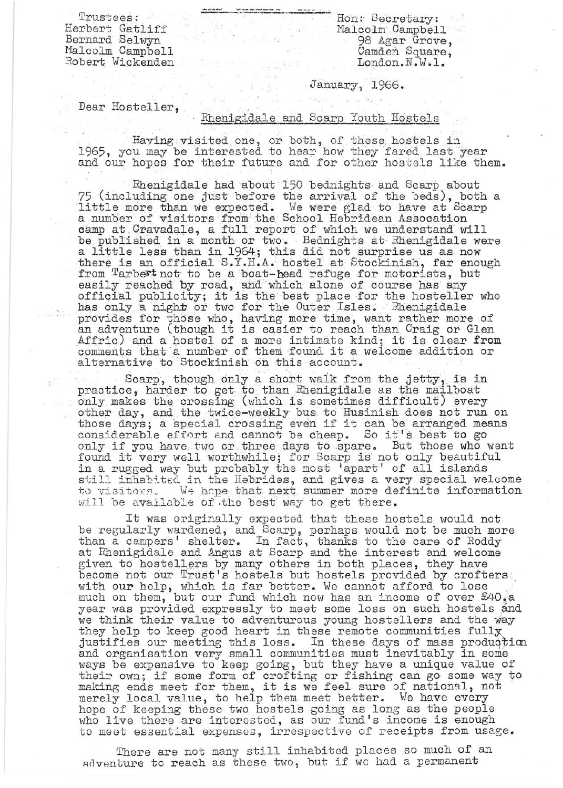Trustees: Herbert Gatliff Bernard Selwyn Malcolm Campbell Robert Wickenden

Ron: Secretary: Malcolm Campbell 98 Agar Grove, Camden Square, London. N.W.1.

## January, 1966.

Dear Hosteller,

## Rhenigidale and Scarp Youth Hostels

Having visited one, or both, of these hostels in 1965, you may be interested to hear how they fared last year and our hopes for their future and for other hostels like them.

. . . " .

Rhenigidale had about 150 bednights and Scarp about 75 (including one just before the arrival of the beds), both a little more than we expected. We were glad to have at Scarp a number of visitors from the School Hebridean Assocation camp at Cravadale, a full report of which we understand will be published in a month or two. Bednights at Rhenigidale were be published in a monon of two. Beddights at inemigratic we there is an official S.Y.H.A. hostel at Stockinish, far enough from Tarbert not to be a boat-head refuge for motorists, but easily reached by road, and which alone of course has any easily reached by road, and which alone of course has any<br>official publicity; it is the best place for the hosteller who has only a night or two for the Outer Isles. Rhenigidale provides for those who, having more time, want rather more of provides for those who, having more time, want rather more of Affric) and a hostel of a more intimate kind; it is clear from comments that a number of them found it a welcome addition or alternative to Stockinish on this account.

Scarp, though only a short walk from the jetty, is in practice, harder to get to than Rhenigidale as the mailboat only makes the crossing (which is sometimes difficult) every other day, and the twice-weekly bus to Husinish does not run on other day, and the twice-weekly ous to husinish does not run on<br>those days; a special crossing even if it can be arranged means<br>considerable effort and cannot be cheap. So it's best to go considerable effort and cannot be cheap. Bo it s best to go considerable effort and cannot be cheap. Bo it s best to go only it you have two or three days to spare. But those who went<br>found it very well worthwhile; for Scarp is not only beautiful in a rugged way but probably the most 'apart' of all islands still inhabited in the Hebrides, and gives a very special welcome<br>to visitors. We hope that next summer more definite information We hope that next summer more definite information will be available of the best way to get there.

It was originally expected that these hostels would not be regularly wardened, and Scarp, perhaps would not be much more than a campers' shelter. In fact, thanks to the care of Roddy at Rhenigidale and Angus at Scarp and the interest and welcome given to hostellers by many others in both places, they have become not our Trust's hostels but hostels provided by crofters, with our help, which is far better. We cannot afford to lose ... .. ... much on them, but our fund which now has an income of over  $\mathcal{L}_1$ year was provided expressly to meet some loss on such hostels and we think their value to adventurous young hostellers and the way they holp to keep good heart in these remote communities fully justifies our meeting this loss. In these days of mass production and organisation very small communities must inevitably in some Ways be expensive to keep going, but they have a unique value of ways be expensive to keep going, but they have a unique value of<br>their own; if some form of crofting or fishing can go some way to their own; if some form of crofting or fishing can go some way<br>making ends meet for them, it is we feel sure of national, not merely local value, to help them meet better. We have every hope of keeping these two hostels going as long as the people who live there are interested, as our fund's income is enough to meet essential expenses, irrespective of receipts from usage.

There are not many still inhabited places so much of an adventure to reach as these two, but if we had a permanent